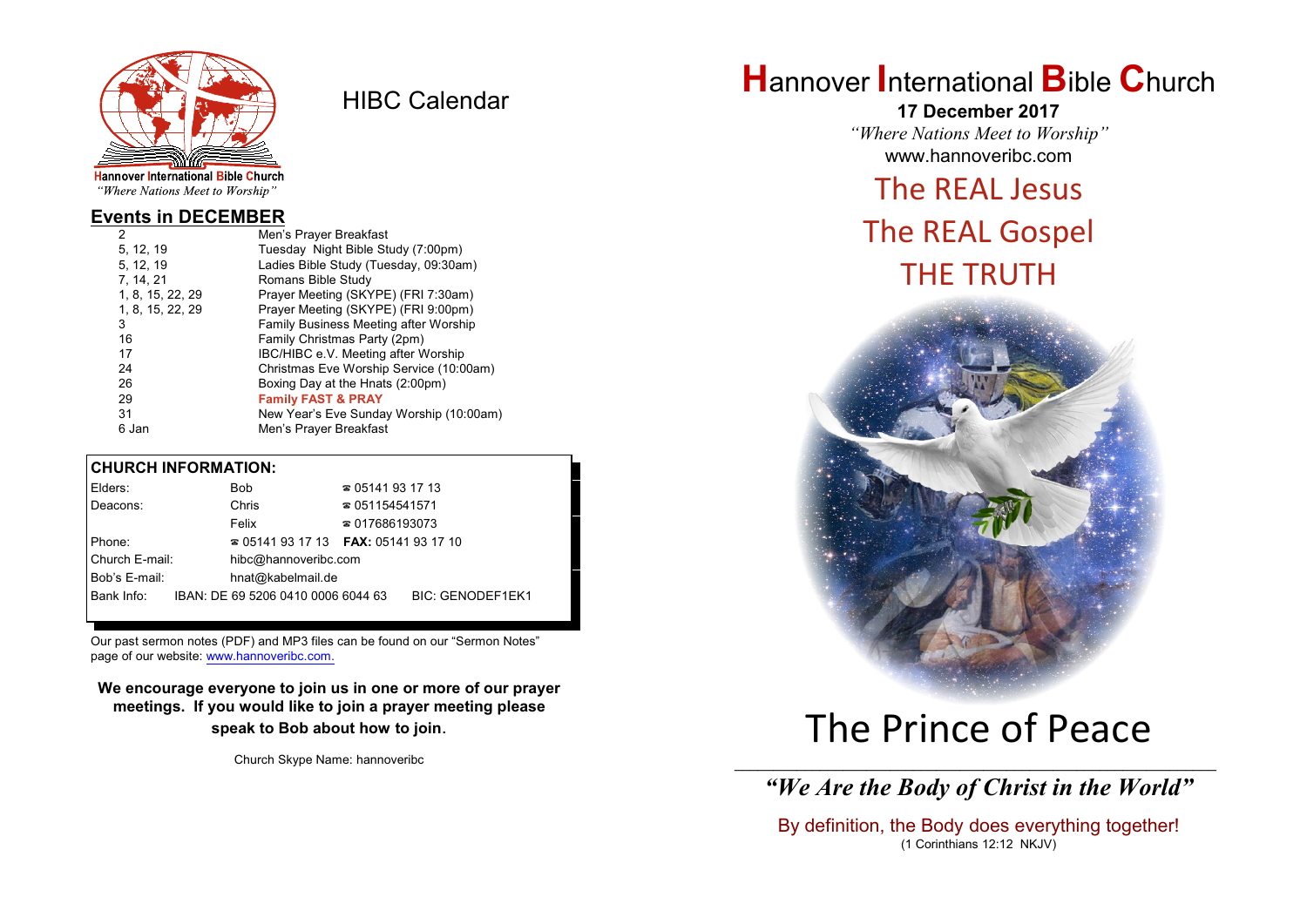

HIBC Calendar

"Where Nations Meet to Worship"

#### **Events in DECEMBER**

| 2                | Men's Prayer Breakfast                  |
|------------------|-----------------------------------------|
| 5, 12, 19        | Tuesday Night Bible Study (7:00pm)      |
| 5, 12, 19        | Ladies Bible Study (Tuesday, 09:30am)   |
| 7, 14, 21        | Romans Bible Study                      |
| 1, 8, 15, 22, 29 | Prayer Meeting (SKYPE) (FRI 7:30am)     |
| 1, 8, 15, 22, 29 | Prayer Meeting (SKYPE) (FRI 9:00pm)     |
| 3                | Family Business Meeting after Worship   |
| 16               | Family Christmas Party (2pm)            |
| 17               | IBC/HIBC e.V. Meeting after Worship     |
| 24               | Christmas Eve Worship Service (10:00am) |
| 26               | Boxing Day at the Hnats (2:00pm)        |
| 29               | <b>Family FAST &amp; PRAY</b>           |
| 31               | New Year's Eve Sunday Worship (10:00am) |
| 6 Jan            | Men's Prayer Breakfast                  |
|                  |                                         |

## **CHURCH INFORMATION:**

| Elders:        | Bob.                                     | $\approx 05141931713$  |                         |
|----------------|------------------------------------------|------------------------|-------------------------|
| Deacons:       | Chris                                    | $\approx 051154541571$ |                         |
|                | Felix                                    | $\approx 017686193073$ |                         |
| Phone:         | $\approx 05141931713$ FAX: 0514193 17 10 |                        |                         |
| Church E-mail: | hibc@hannoveribc.com                     |                        |                         |
| Bob's E-mail:  | hnat@kabelmail.de                        |                        |                         |
| Bank Info:     | IBAN: DE 69 5206 0410 0006 6044 63       |                        | <b>BIC: GENODEF1EK1</b> |
|                |                                          |                        |                         |

Our past sermon notes (PDF) and MP3 files can be found on our "Sermon Notes" page of our website: [www.hannoveribc.com.](http://www.hannoveribc.com.)

**We encourage everyone to join us in one or more of our prayer meetings. If you would like to join a prayer meeting please speak to Bob about how to join**.

Church Skype Name: hannoveribc

# **H**annover **I**nternational **B**ible **C**hurch

**17 December 2017** *"Where Nations Meet to Worship"* www.hannoveribc.com

## The REAL Jesus

# The REAL Gospel THE TRUTH



# The Prince of Peace

## \_\_\_\_\_\_\_\_\_\_\_\_\_\_\_\_\_\_\_\_\_\_\_\_\_\_\_\_\_\_\_\_\_\_\_\_\_\_\_\_\_\_\_\_\_\_\_\_\_\_\_\_\_\_\_\_\_\_\_\_\_\_ *"We Are the Body of Christ in the World"*

By definition, the Body does everything together! (1 Corinthians 12:12 NKJV)